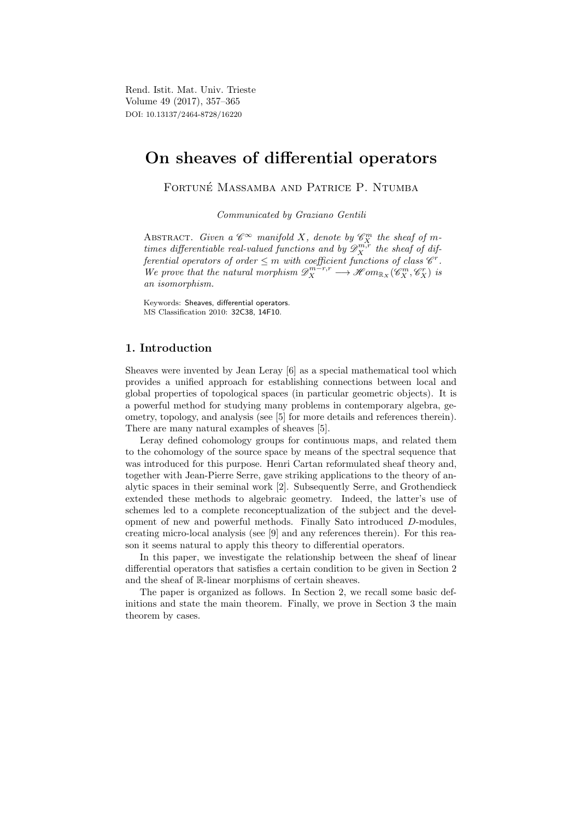Rend. Istit. Mat. Univ. Trieste Volume 49 (2017), 357–365 DOI: 10.13137/2464-8728/16220

# On sheaves of differential operators

FORTUNÉ MASSAMBA AND PATRICE P. NTUMBA

Communicated by Graziano Gentili

ABSTRACT. Given a  $\mathscr{C}^{\infty}$  manifold X, denote by  $\mathscr{C}_{X}^{m}$  the sheaf of mtimes differentiable real-valued functions and by  $\mathscr{D}_X^{m,r}$  the sheaf of differential operators of order  $\leq m$  with coefficient functions of class  $\mathscr{C}^r$ . We prove that the natural morphism  $\mathscr{D}_X^{m-r,r} \longrightarrow \mathscr{H}om_{\mathbb{R}_X}(\mathscr{C}_X^m,\mathscr{C}_X^r)$  is an isomorphism.

Keywords: Sheaves, differential operators. MS Classification 2010: 32C38, 14F10.

# 1. Introduction

Sheaves were invented by Jean Leray [6] as a special mathematical tool which provides a unified approach for establishing connections between local and global properties of topological spaces (in particular geometric objects). It is a powerful method for studying many problems in contemporary algebra, geometry, topology, and analysis (see [5] for more details and references therein). There are many natural examples of sheaves [5].

Leray defined cohomology groups for continuous maps, and related them to the cohomology of the source space by means of the spectral sequence that was introduced for this purpose. Henri Cartan reformulated sheaf theory and, together with Jean-Pierre Serre, gave striking applications to the theory of analytic spaces in their seminal work [2]. Subsequently Serre, and Grothendieck extended these methods to algebraic geometry. Indeed, the latter's use of schemes led to a complete reconceptualization of the subject and the development of new and powerful methods. Finally Sato introduced D-modules, creating micro-local analysis (see [9] and any references therein). For this reason it seems natural to apply this theory to differential operators.

In this paper, we investigate the relationship between the sheaf of linear differential operators that satisfies a certain condition to be given in Section 2 and the sheaf of R-linear morphisms of certain sheaves.

The paper is organized as follows. In Section 2, we recall some basic definitions and state the main theorem. Finally, we prove in Section 3 the main theorem by cases.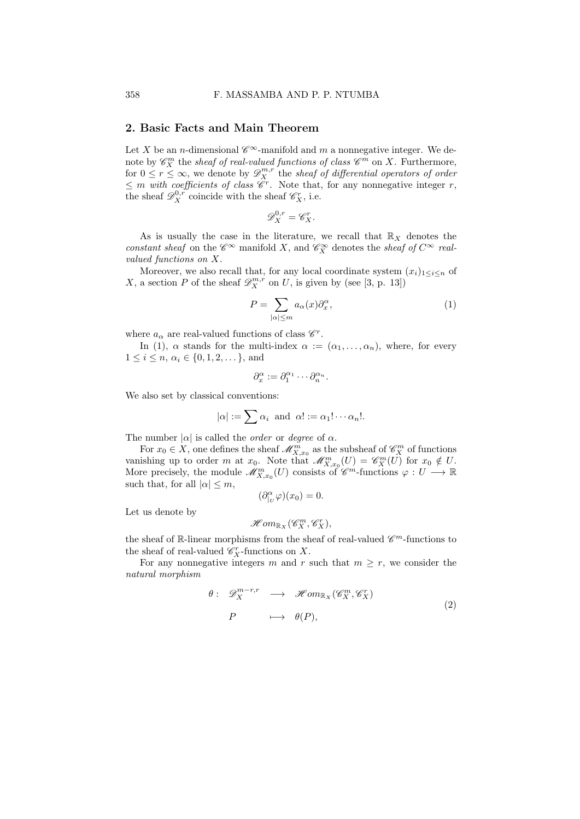### 2. Basic Facts and Main Theorem

Let X be an *n*-dimensional  $\mathscr{C}^{\infty}$ -manifold and m a nonnegative integer. We denote by  $\mathscr{C}_{X}^{m}$  the sheaf of real-valued functions of class  $\mathscr{C}^{m}$  on X. Furthermore, for  $0 \leq r \leq \infty$ , we denote by  $\mathscr{D}_{X}^{m,r}$  the sheaf of differential operators of order  $\leq m$  with coefficients of class  $\mathscr{C}^r$ . Note that, for any nonnegative integer r, the sheaf  $\mathscr{D}_{X}^{0,r}$  coincide with the sheaf  $\mathscr{C}_{X}^{r}$ , i.e.

$$
\mathscr{D}^{0,r}_X=\mathscr{C}^r_X.
$$

As is usually the case in the literature, we recall that  $\mathbb{R}_X$  denotes the constant sheaf on the  $\mathscr{C}^\infty$  manifold X, and  $\mathscr{C}^\infty_X$  denotes the sheaf of  $C^\infty$  realvalued functions on X.

Moreover, we also recall that, for any local coordinate system  $(x_i)_{1 \leq i \leq n}$  of X, a section P of the sheaf  $\mathscr{D}_X^{m,r}$  on U, is given by (see [3, p. 13])

$$
P = \sum_{|\alpha| \le m} a_{\alpha}(x) \partial_x^{\alpha}, \tag{1}
$$

where  $a_{\alpha}$  are real-valued functions of class  $\mathscr{C}^r$ .

In (1),  $\alpha$  stands for the multi-index  $\alpha := (\alpha_1, \ldots, \alpha_n)$ , where, for every  $1 \leq i \leq n, \, \alpha_i \in \{0, 1, 2, \dots\},\$ and

$$
\partial_x^{\alpha} := \partial_1^{\alpha_1} \cdots \partial_n^{\alpha_n}.
$$

We also set by classical conventions:

$$
|\alpha| := \sum \alpha_i
$$
 and  $\alpha! := \alpha_1! \cdots \alpha_n!$ .

The number  $|\alpha|$  is called the *order* or *degree* of  $\alpha$ .

For  $x_0 \in X$ , one defines the sheaf  $\mathscr{M}_{X,x_0}^m$  as the subsheaf of  $\mathscr{C}_{X}^m$  of functions vanishing up to order m at  $x_0$ . Note that  $\mathscr{M}_{X,x_0}^m(U) = \mathscr{C}_{X}^m(U)$  for  $x_0 \notin U$ . More precisely, the module  $\mathscr{M}_{X,x_0}^m(U)$  consists of  $\mathscr{C}^m$ -functions  $\varphi: U \longrightarrow \mathbb{R}$ such that, for all  $|\alpha| \leq m$ ,  $(\partial_{|U}^{\alpha}\varphi)(x_0)=0.$ 

Let us denote by

$$
\mathscr{H}om_{\mathbb{R}_{X}}(\mathscr{C}_{X}^{m},\mathscr{C}_{X}^{r}),
$$

the sheaf of  $\mathbb R$ -linear morphisms from the sheaf of real-valued  $\mathscr C^m$ -functions to the sheaf of real-valued  $\mathscr{C}_X^r$ -functions on X.

For any nonnegative integers m and r such that  $m \geq r$ , we consider the natural morphism

$$
\theta: \mathscr{D}^{m-r,r}_{X} \longrightarrow \mathscr{H}om_{\mathbb{R}X}(\mathscr{C}^m_X, \mathscr{C}^r_X)
$$
  
\n
$$
P \longrightarrow \theta(P), \qquad (2)
$$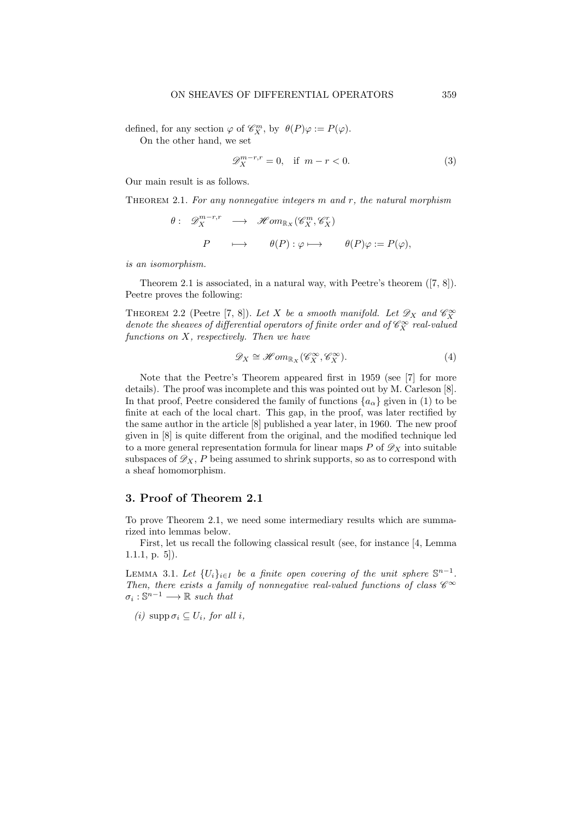defined, for any section  $\varphi$  of  $\mathscr{C}_{X}^{m}$ , by  $\theta(P)\varphi := P(\varphi)$ .

On the other hand, we set

$$
\mathscr{D}_X^{m-r,r} = 0, \quad \text{if } m-r < 0. \tag{3}
$$

Our main result is as follows.

THEOREM 2.1. For any nonnegative integers  $m$  and  $r$ , the natural morphism

$$
\theta: \mathscr{D}^{m-r,r}_X \longrightarrow \mathscr{H}om_{\mathbb{R}_X}(\mathscr{C}^m_X, \mathscr{C}^r_X)
$$
  

$$
P \longrightarrow \theta(P): \varphi \longmapsto \theta(P)\varphi := P(\varphi),
$$

is an isomorphism.

Theorem 2.1 is associated, in a natural way, with Peetre's theorem ([7, 8]). Peetre proves the following:

THEOREM 2.2 (Peetre [7, 8]). Let X be a smooth manifold. Let  $\mathscr{D}_X$  and  $\mathscr{C}_X^{\infty}$ denote the sheaves of differential operators of finite order and of  $\mathscr{C}^\infty_X$  real-valued functions on  $X$ , respectively. Then we have

$$
\mathcal{D}_X \cong \mathcal{H}om_{\mathbb{R}_X}(\mathcal{C}_X^{\infty}, \mathcal{C}_X^{\infty}).
$$
\n(4)

Note that the Peetre's Theorem appeared first in 1959 (see [7] for more details). The proof was incomplete and this was pointed out by M. Carleson [8]. In that proof, Peetre considered the family of functions  $\{a_{\alpha}\}\$  given in (1) to be finite at each of the local chart. This gap, in the proof, was later rectified by the same author in the article [8] published a year later, in 1960. The new proof given in [8] is quite different from the original, and the modified technique led to a more general representation formula for linear maps  $P$  of  $\mathscr{D}_X$  into suitable subspaces of  $\mathscr{D}_X$ , P being assumed to shrink supports, so as to correspond with a sheaf homomorphism.

# 3. Proof of Theorem 2.1

To prove Theorem 2.1, we need some intermediary results which are summarized into lemmas below.

First, let us recall the following classical result (see, for instance [4, Lemma 1.1.1, p. 5]).

LEMMA 3.1. Let  $\{U_i\}_{i\in I}$  be a finite open covering of the unit sphere  $\mathbb{S}^{n-1}$ . Then, there exists a family of nonnegative real-valued functions of class  $\mathscr{C}^\infty$  $\sigma_i: \mathbb{S}^{n-1} \longrightarrow \mathbb{R}$  such that

(i)  $\text{supp }\sigma_i \subseteq U_i$ , for all i,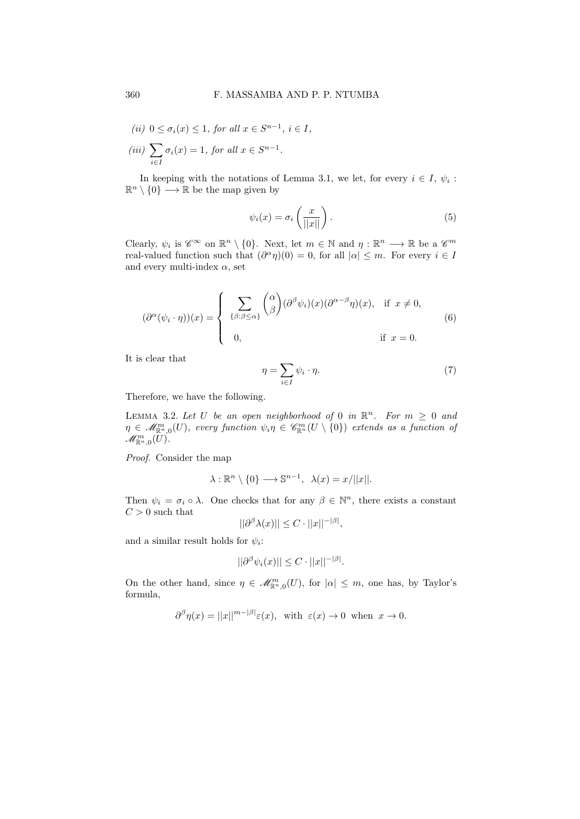$$
(ii) \ 0 \le \sigma_i(x) \le 1, \text{ for all } x \in S^{n-1}, \ i \in I,
$$

$$
(iii) \ \sum_{i \in I} \sigma_i(x) = 1, \text{ for all } x \in S^{n-1}.
$$

In keeping with the notations of Lemma 3.1, we let, for every  $i \in I$ ,  $\psi_i$ :  $\mathbb{R}^n \setminus \{0\} \longrightarrow \mathbb{R}$  be the map given by

$$
\psi_i(x) = \sigma_i\left(\frac{x}{||x||}\right). \tag{5}
$$

Clearly,  $\psi_i$  is  $\mathscr{C}^{\infty}$  on  $\mathbb{R}^n \setminus \{0\}$ . Next, let  $m \in \mathbb{N}$  and  $\eta : \mathbb{R}^n \longrightarrow \mathbb{R}$  be a  $\mathscr{C}^m$ real-valued function such that  $(\partial^{\alpha} \eta)(0) = 0$ , for all  $|\alpha| \leq m$ . For every  $i \in I$ and every multi-index  $\alpha$ , set

$$
(\partial^{\alpha}(\psi_i \cdot \eta))(x) = \begin{cases} \sum_{\{\beta:\beta \leq \alpha\}} {\alpha \choose \beta} (\partial^{\beta} \psi_i)(x) (\partial^{\alpha-\beta} \eta)(x), & \text{if } x \neq 0, \\ 0, & \text{if } x = 0. \end{cases}
$$
 (6)

It is clear that

$$
\eta = \sum_{i \in I} \psi_i \cdot \eta. \tag{7}
$$

Therefore, we have the following.

LEMMA 3.2. Let U be an open neighborhood of 0 in  $\mathbb{R}^n$ . For  $m \geq 0$  and  $\eta \in \mathscr{M}^m_{\mathbb{R}^n,0}(U)$ , every function  $\psi_i\eta \in \mathscr{C}^m_{\mathbb{R}^n}(U \setminus \{0\})$  extends as a function of  $\mathscr{M}^m_{{\mathbb R}^n,0}(U).$ 

Proof. Consider the map

$$
\lambda : \mathbb{R}^n \setminus \{0\} \longrightarrow \mathbb{S}^{n-1}, \ \ \lambda(x) = x/||x||.
$$

Then  $\psi_i = \sigma_i \circ \lambda$ . One checks that for any  $\beta \in \mathbb{N}^n$ , there exists a constant  ${\cal C}>0$  such that

$$
||\partial^{\beta}\lambda(x)|| \leq C \cdot ||x||^{-|\beta|},
$$

and a similar result holds for  $\psi_i$ :

$$
||\partial^{\beta}\psi_i(x)|| \leq C \cdot ||x||^{-|\beta|}.
$$

On the other hand, since  $\eta \in \mathscr{M}^m_{\mathbb{R}^n,0}(U)$ , for  $|\alpha| \leq m$ , one has, by Taylor's formula,

$$
\partial^{\beta} \eta(x) = ||x||^{m-|\beta|} \varepsilon(x)
$$
, with  $\varepsilon(x) \to 0$  when  $x \to 0$ .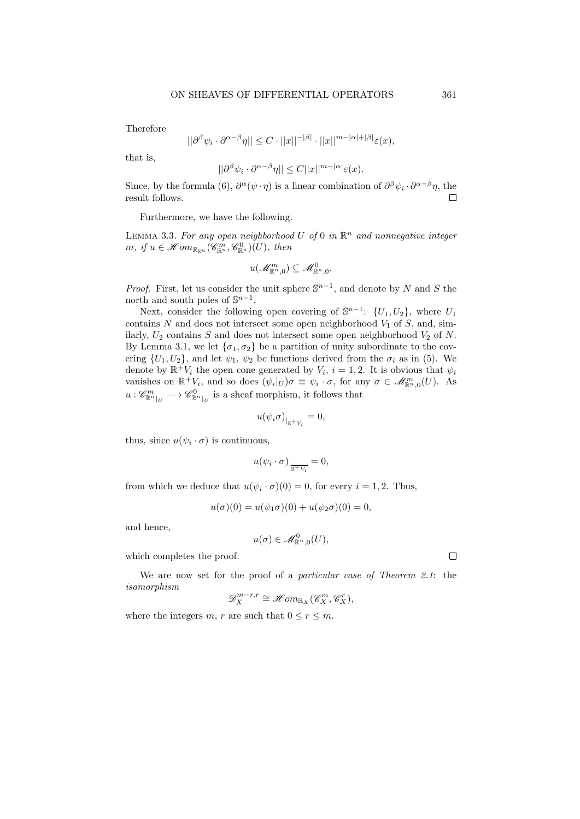Therefore

$$
||\partial^{\beta}\psi_i \cdot \partial^{\alpha-\beta}\eta|| \leq C \cdot ||x||^{-|\beta|} \cdot ||x||^{m-|\alpha|+|\beta|} \varepsilon(x),
$$

that is,

$$
||\partial^{\beta}\psi_i \cdot \partial^{\alpha-\beta}\eta|| \leq C||x||^{m-|\alpha|}\varepsilon(x).
$$

Since, by the formula (6),  $\partial^{\alpha}(\psi \cdot \eta)$  is a linear combination of  $\partial^{\beta}\psi_i \cdot \partial^{\alpha-\beta}\eta$ , the result follows. П

Furthermore, we have the following.

LEMMA 3.3. For any open neighborhood U of 0 in  $\mathbb{R}^n$  and nonnegative integer  $m, if u \in \mathcal{H}om_{\mathbb{R}_{\mathbb{R}^n}}(\mathcal{C}_{\mathbb{R}^n}^m,\mathcal{C}_{\mathbb{R}^n}^0)(U), then$ 

$$
u(\mathscr{M}^m_{{\mathbb R}^n,0})\subseteq \mathscr{M}^0_{{\mathbb R}^n,0}.
$$

*Proof.* First, let us consider the unit sphere  $\mathbb{S}^{n-1}$ , and denote by N and S the north and south poles of  $\mathbb{S}^{n-1}$ .

Next, consider the following open covering of  $\mathbb{S}^{n-1}$ :  $\{U_1, U_2\}$ , where  $U_1$ contains  $N$  and does not intersect some open neighborhood  $V_1$  of  $S$ , and, similarly,  $U_2$  contains S and does not intersect some open neighborhood  $V_2$  of N. By Lemma 3.1, we let  $\{\sigma_1, \sigma_2\}$  be a partition of unity subordinate to the covering  $\{U_1, U_2\}$ , and let  $\psi_1, \psi_2$  be functions derived from the  $\sigma_i$  as in (5). We denote by  $\mathbb{R}^+ V_i$  the open cone generated by  $V_i$ ,  $i = 1, 2$ . It is obvious that  $\psi_i$ vanishes on  $\mathbb{R}^+V_i$ , and so does  $(\psi_i|_U)\sigma \equiv \psi_i \cdot \sigma$ , for any  $\sigma \in \mathscr{M}_{\mathbb{R}^n,0}^m(U)$ . As  $u: \mathscr{C}^m_{\mathbb{R}^n|_U} \longrightarrow \mathscr{C}^0_{\mathbb{R}^n|_U}$  is a sheaf morphism, it follows that

$$
u(\psi_i \sigma)_{|_{\mathbb{R}^+ V_i}} = 0,
$$

thus, since  $u(\psi_i \cdot \sigma)$  is continuous,

$$
u(\psi_i\cdot \sigma)_{|_{\overline{\mathbb{R}^+ V_i}}} = 0,
$$

from which we deduce that  $u(\psi_i \cdot \sigma)(0) = 0$ , for every  $i = 1, 2$ . Thus,

$$
u(\sigma)(0) = u(\psi_1 \sigma)(0) + u(\psi_2 \sigma)(0) = 0,
$$

and hence,

$$
u(\sigma) \in \mathscr{M}^0_{{\mathbb R}^n,0}(U),
$$

which completes the proof.

We are now set for the proof of a *particular case of Theorem 2.1*: the isomorphism

$$
\mathscr{D}^{m-r,r}_X\cong \mathscr{H}om_{\mathbb{R}_X}(\mathscr{C}^m_X,\mathscr{C}^r_X),
$$

where the integers m, r are such that  $0 \le r \le m$ .

 $\Box$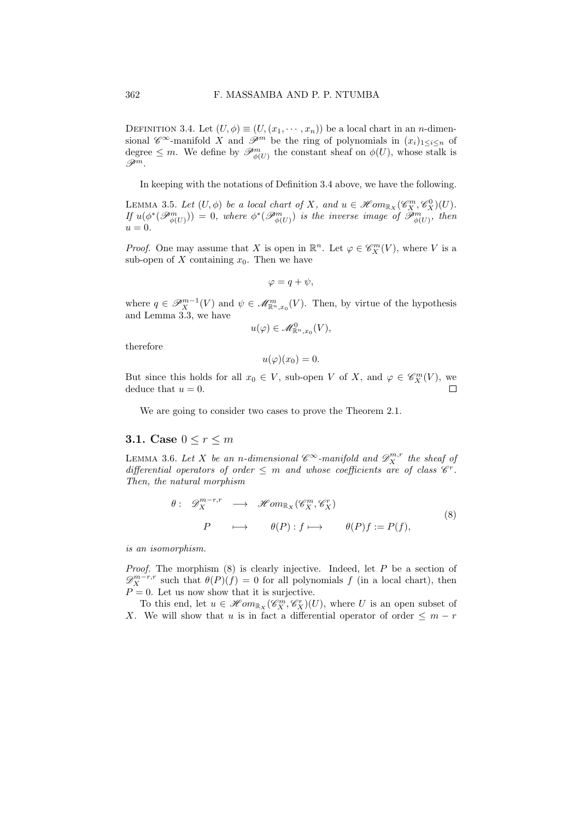DEFINITION 3.4. Let  $(U, \phi) \equiv (U, (x_1, \dots, x_n))$  be a local chart in an *n*-dimensional  $\mathscr{C}^{\infty}$ -manifold X and  $\mathscr{P}^m$  be the ring of polynomials in  $(x_i)_{1\leq i\leq n}$  of degree  $\leq m$ . We define by  $\mathscr{P}_{\phi(U)}^m$  the constant sheaf on  $\phi(U)$ , whose stalk is  $\mathscr{P}^m$ .

In keeping with the notations of Definition 3.4 above, we have the following.

LEMMA 3.5. Let  $(U, \phi)$  be a local chart of X, and  $u \in \mathcal{H}om_{\mathbb{R}_X}(\mathcal{C}_X^m, \mathcal{C}_X^0)(U)$ . If  $u(\phi^*(\mathcal{P}_{\phi(U)}^m))=0$ , where  $\phi^*(\mathcal{P}_{\phi(U)}^m)$  is the inverse image of  $\mathcal{P}_{\phi(U)}^m$ , then  $u = 0.$ 

*Proof.* One may assume that X is open in  $\mathbb{R}^n$ . Let  $\varphi \in \mathscr{C}_X^m(V)$ , where V is a sub-open of  $X$  containing  $x_0$ . Then we have

$$
\varphi = q + \psi,
$$

where  $q \in \mathscr{P}_{X}^{m-1}(V)$  and  $\psi \in \mathscr{M}_{\mathbb{R}^{n},x_{0}}^{m}(V)$ . Then, by virtue of the hypothesis and Lemma 3.3, we have

$$
u(\varphi) \in \mathscr{M}^0_{\mathbb{R}^n, x_0}(V),
$$

therefore

 $u(\varphi)(x_0) = 0.$ 

But since this holds for all  $x_0 \in V$ , sub-open V of X, and  $\varphi \in \mathscr{C}_{X}^m(V)$ , we deduce that  $u = 0$ .

We are going to consider two cases to prove the Theorem 2.1.

### 3.1. Case  $0 \leq r \leq m$

LEMMA 3.6. Let X be an n-dimensional  $\mathscr{C}^{\infty}$ -manifold and  $\mathscr{D}_{X}^{m,r}$  the sheaf of differential operators of order  $\leq m$  and whose coefficients are of class  $\mathscr{C}^r$ . Then, the natural morphism

$$
\theta: \mathscr{D}_{X}^{m-r,r} \longrightarrow \mathscr{H}om_{\mathbb{R}_{X}}(\mathscr{C}_{X}^{m}, \mathscr{C}_{X}^{r})
$$
  
\n
$$
P \longrightarrow \theta(P): f \longmapsto \theta(P)f := P(f),
$$
\n(8)

is an isomorphism.

*Proof.* The morphism  $(8)$  is clearly injective. Indeed, let  $P$  be a section of  $\mathscr{D}_X^{m-r,r}$  such that  $\theta(P)(f) = 0$  for all polynomials f (in a local chart), then  $P = 0$ . Let us now show that it is surjective.

To this end, let  $u \in \mathscr{H}om_{\mathbb{R}_X}(\mathscr{C}_X^m, \mathscr{C}_X^r)(U)$ , where U is an open subset of X. We will show that u is in fact a differential operator of order  $\leq m-r$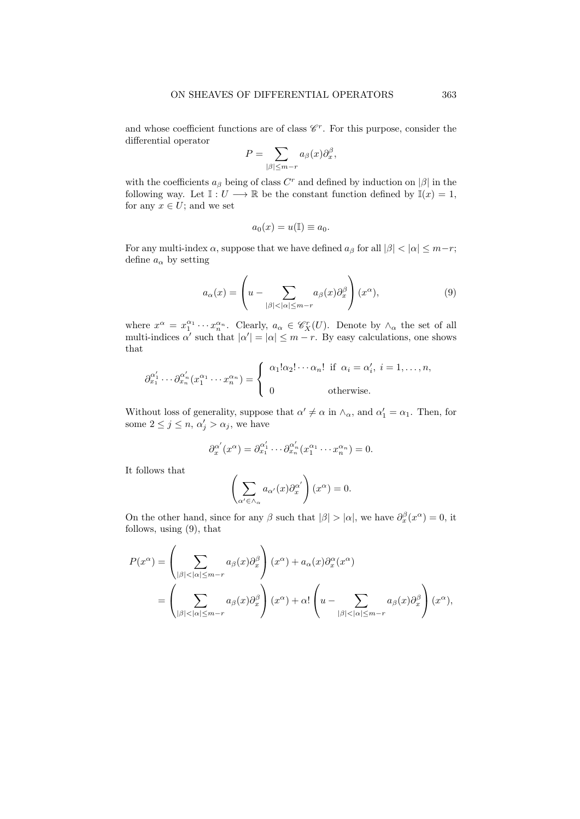and whose coefficient functions are of class  $\mathcal{C}^r$ . For this purpose, consider the differential operator

$$
P = \sum_{|\beta| \le m-r} a_{\beta}(x) \partial_x^{\beta},
$$

with the coefficients  $a_{\beta}$  being of class  $C^{r}$  and defined by induction on  $|\beta|$  in the following way. Let  $\mathbb{I}: U \longrightarrow \mathbb{R}$  be the constant function defined by  $\mathbb{I}(x) = 1$ , for any  $x \in U$ ; and we set

$$
a_0(x) = u(\mathbb{I}) \equiv a_0.
$$

For any multi-index  $\alpha$ , suppose that we have defined  $a_{\beta}$  for all  $|\beta| < |\alpha| \leq m-r$ ; define  $a_{\alpha}$  by setting

$$
a_{\alpha}(x) = \left(u - \sum_{|\beta| < |\alpha| \le m-r} a_{\beta}(x) \partial_x^{\beta}\right)(x^{\alpha}),\tag{9}
$$

where  $x^{\alpha} = x_1^{\alpha_1} \cdots x_n^{\alpha_n}$ . Clearly,  $a_{\alpha} \in \mathscr{C}_X^r(U)$ . Denote by  $\wedge_{\alpha}$  the set of all multi-indices  $\alpha'$  such that  $|\alpha'| = |\alpha| \leq m - r$ . By easy calculations, one shows that

$$
\partial_{x_1}^{\alpha'_1} \cdots \partial_{x_n}^{\alpha'_n} (x_1^{\alpha_1} \cdots x_n^{\alpha_n}) = \begin{cases} \alpha_1! \alpha_2! \cdots \alpha_n! & \text{if } \alpha_i = \alpha'_i, \ i = 1, \dots, n, \\ 0 & \text{otherwise.} \end{cases}
$$

Without loss of generality, suppose that  $\alpha' \neq \alpha$  in  $\wedge_{\alpha}$ , and  $\alpha'_1 = \alpha_1$ . Then, for some  $2 \leq j \leq n, \alpha'_j > \alpha_j$ , we have

$$
\partial_x^{\alpha'}(x^{\alpha}) = \partial_{x_1}^{\alpha'_1} \cdots \partial_{x_n}^{\alpha'_n} (x_1^{\alpha_1} \cdots x_n^{\alpha_n}) = 0.
$$

It follows that

$$
\left(\sum_{\alpha'\in\wedge_\alpha} a_{\alpha'}(x)\partial_x^{\alpha'}\right)(x^\alpha) = 0.
$$

On the other hand, since for any  $\beta$  such that  $|\beta| > |\alpha|$ , we have  $\partial_x^{\beta}(x^{\alpha}) = 0$ , it follows, using (9), that

$$
P(x^{\alpha}) = \left(\sum_{|\beta| < |\alpha| \le m-r} a_{\beta}(x) \partial_x^{\beta}\right)(x^{\alpha}) + a_{\alpha}(x) \partial_x^{\alpha}(x^{\alpha})
$$
\n
$$
= \left(\sum_{|\beta| < |\alpha| \le m-r} a_{\beta}(x) \partial_x^{\beta}\right)(x^{\alpha}) + \alpha! \left(u - \sum_{|\beta| < |\alpha| \le m-r} a_{\beta}(x) \partial_x^{\beta}\right)(x^{\alpha}),
$$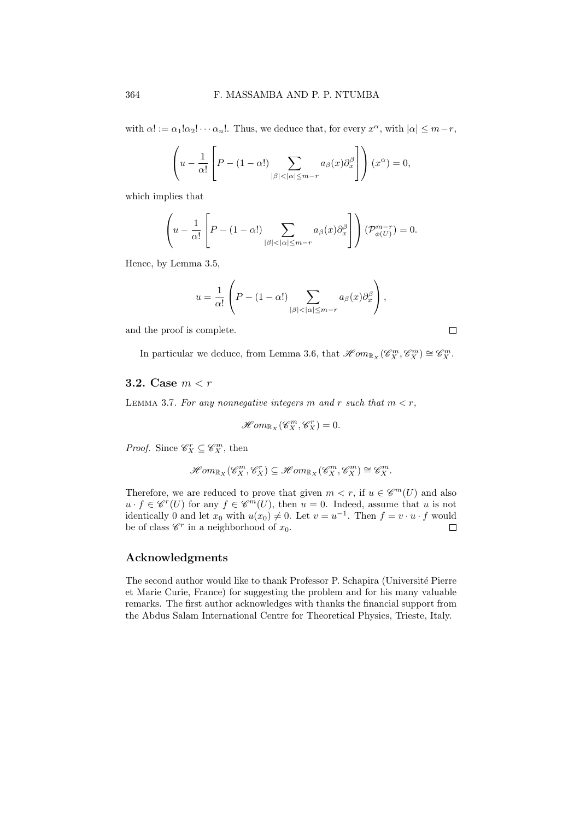with  $\alpha! := \alpha_1! \alpha_2! \cdots \alpha_n!$ . Thus, we deduce that, for every  $x^{\alpha}$ , with  $|\alpha| \leq m-r$ ,

$$
\left(u - \frac{1}{\alpha!} \left[P - (1 - \alpha!) \sum_{|\beta| < |\alpha| \le m - r} a_{\beta}(x) \partial_x^{\beta}\right]\right)(x^{\alpha}) = 0,
$$

which implies that

$$
\left(u - \frac{1}{\alpha!} \left[P - (1 - \alpha!) \sum_{|\beta| < |\alpha| \le m - r} a_{\beta}(x) \partial_x^{\beta}\right]\right) (\mathcal{P}_{\phi(U)}^{m-r}) = 0.
$$

Hence, by Lemma 3.5,

$$
u = \frac{1}{\alpha!} \left( P - (1 - \alpha!) \sum_{|\beta| < |\alpha| \le m - r} a_{\beta}(x) \partial_x^{\beta} \right),
$$

and the proof is complete.

 $\Box$ 

In particular we deduce, from Lemma 3.6, that  $\mathscr{H}om_{\mathbb{R}_{X}}(\mathscr{C}_{X}^{m}, \mathscr{C}_{X}^{m}) \cong \mathscr{C}_{X}^{m}$ .

# 3.2. Case  $m < r$

LEMMA 3.7. For any nonnegative integers m and r such that  $m < r$ ,

$$
\mathscr{H}om_{\mathbb{R}_X}(\mathscr{C}_X^m, \mathscr{C}_X^r) = 0.
$$

*Proof.* Since  $\mathscr{C}_X^r \subseteq \mathscr{C}_X^m$ , then

$$
\mathscr{H}om_{\mathbb{R}_{X}}(\mathscr{C}_{X}^{m},\mathscr{C}_{X}^{r})\subseteq \mathscr{H}om_{\mathbb{R}_{X}}(\mathscr{C}_{X}^{m},\mathscr{C}_{X}^{m})\cong \mathscr{C}_{X}^{m}.
$$

Therefore, we are reduced to prove that given  $m < r$ , if  $u \in \mathscr{C}^m(U)$  and also  $u \cdot f \in \mathscr{C}^r(U)$  for any  $f \in \mathscr{C}^m(U)$ , then  $u = 0$ . Indeed, assume that u is not identically 0 and let  $x_0$  with  $u(x_0) \neq 0$ . Let  $v = u^{-1}$ . Then  $f = v \cdot u \cdot f$  would be of class  $\mathscr{C}^r$  in a neighborhood of  $x_0$ .  $\Box$ 

# Acknowledgments

The second author would like to thank Professor P. Schapira (Universit´e Pierre et Marie Curie, France) for suggesting the problem and for his many valuable remarks. The first author acknowledges with thanks the financial support from the Abdus Salam International Centre for Theoretical Physics, Trieste, Italy.